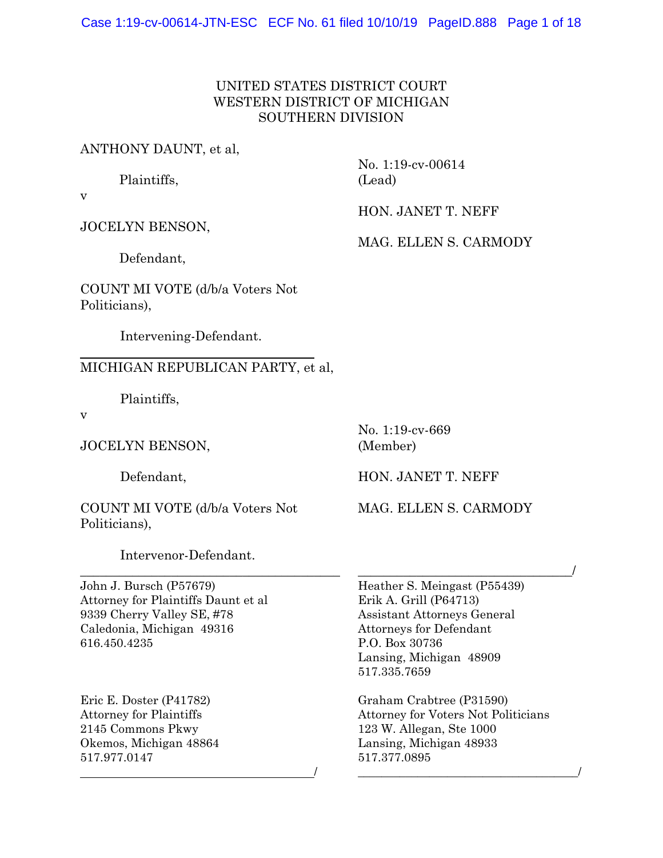## UNITED STATES DISTRICT COURT WESTERN DISTRICT OF MICHIGAN SOUTHERN DIVISION

### ANTHONY DAUNT, et al,

Plaintiffs,

No. 1:19-cv-00614 (Lead)

JOCELYN BENSON,

HON. JANET T. NEFF

MAG. ELLEN S. CARMODY

Defendant,

COUNT MI VOTE (d/b/a Voters Not Politicians),

Intervening-Defendant.

## MICHIGAN REPUBLICAN PARTY, et al,

Plaintiffs,

v

 $\overline{a}$ 

v

JOCELYN BENSON,

Defendant,

COUNT MI VOTE (d/b/a Voters Not Politicians),

Intervenor-Defendant.

\_\_\_\_\_\_\_\_\_\_\_\_\_\_\_\_\_\_\_\_\_\_\_\_\_\_\_\_\_\_\_\_\_\_\_\_\_\_\_\_

 $\overline{\phantom{a}}$ 

John J. Bursch (P57679) Attorney for Plaintiffs Daunt et al 9339 Cherry Valley SE, #78 Caledonia, Michigan 49316 616.450.4235

Eric E. Doster (P41782) Attorney for Plaintiffs 2145 Commons Pkwy Okemos, Michigan 48864 517.977.0147

No. 1:19-cv-669

(Member)

HON. JANET T. NEFF

MAG. ELLEN S. CARMODY

\_\_\_\_\_\_\_\_\_\_\_\_\_\_\_\_\_\_\_\_\_\_\_\_\_\_\_\_\_\_\_\_\_/

Heather S. Meingast (P55439) Erik A. Grill (P64713) Assistant Attorneys General Attorneys for Defendant P.O. Box 30736 Lansing, Michigan 48909 517.335.7659

Graham Crabtree (P31590) Attorney for Voters Not Politicians 123 W. Allegan, Ste 1000 Lansing, Michigan 48933 517.377.0895

\_\_\_\_\_\_\_\_\_\_\_\_\_\_\_\_\_\_\_\_\_\_\_\_\_\_\_\_\_\_\_\_\_\_\_\_\_/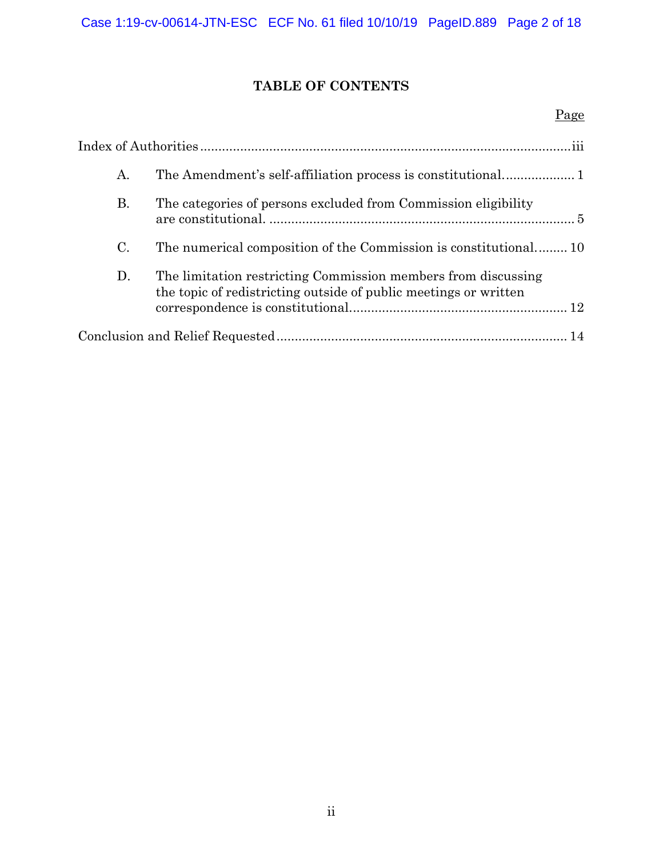# **TABLE OF CONTENTS**

## Page

| А. |                                                                                                                                   |  |
|----|-----------------------------------------------------------------------------------------------------------------------------------|--|
| В. | The categories of persons excluded from Commission eligibility                                                                    |  |
| C. | The numerical composition of the Commission is constitutional10                                                                   |  |
| D. | The limitation restricting Commission members from discussing<br>the topic of redistricting outside of public meetings or written |  |
|    |                                                                                                                                   |  |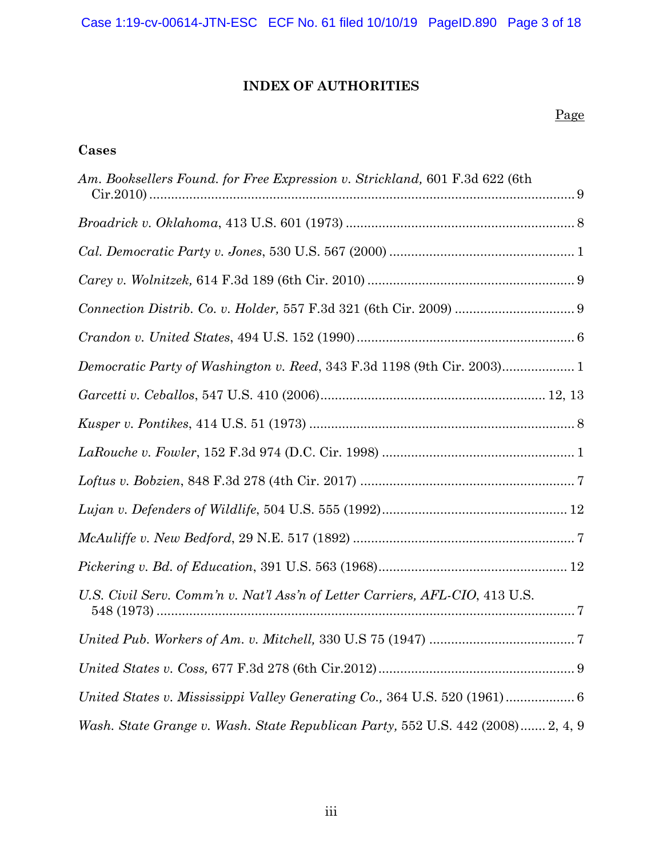# **INDEX OF AUTHORITIES**

## Page

## **Cases**

| Am. Booksellers Found. for Free Expression v. Strickland, 601 F.3d 622 (6th     |
|---------------------------------------------------------------------------------|
|                                                                                 |
|                                                                                 |
|                                                                                 |
|                                                                                 |
|                                                                                 |
|                                                                                 |
|                                                                                 |
|                                                                                 |
|                                                                                 |
| $\emph{Loftus v. Bobzien, 848 F.3d 278 (4th Cir. 2017)  (2017)}$                |
|                                                                                 |
|                                                                                 |
|                                                                                 |
| U.S. Civil Serv. Comm'n v. Nat'l Ass'n of Letter Carriers, AFL-CIO, 413 U.S.    |
|                                                                                 |
|                                                                                 |
| United States v. Mississippi Valley Generating Co., 364 U.S. 520 (1961) 6       |
| Wash. State Grange v. Wash. State Republican Party, 552 U.S. 442 (2008) 2, 4, 9 |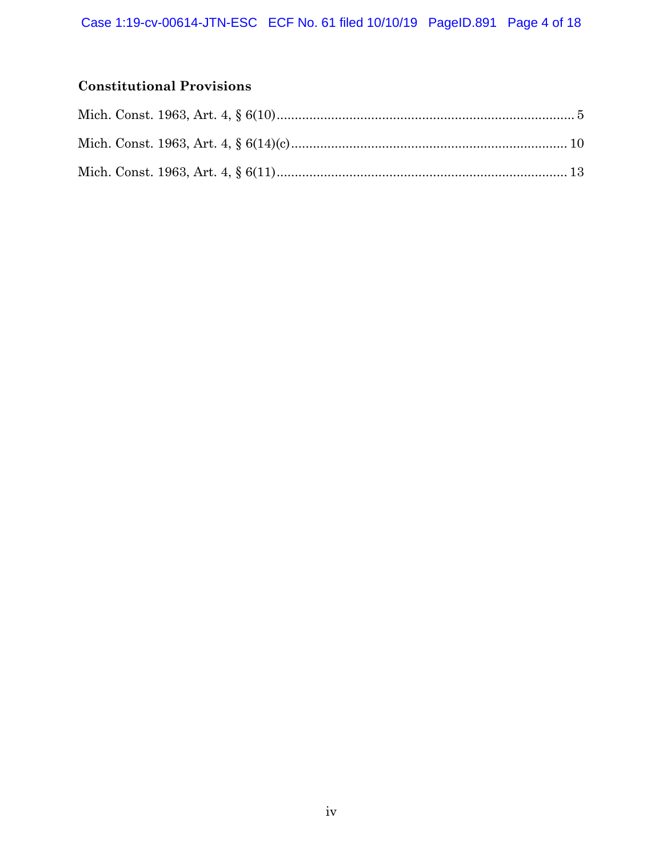# **Constitutional Provisions**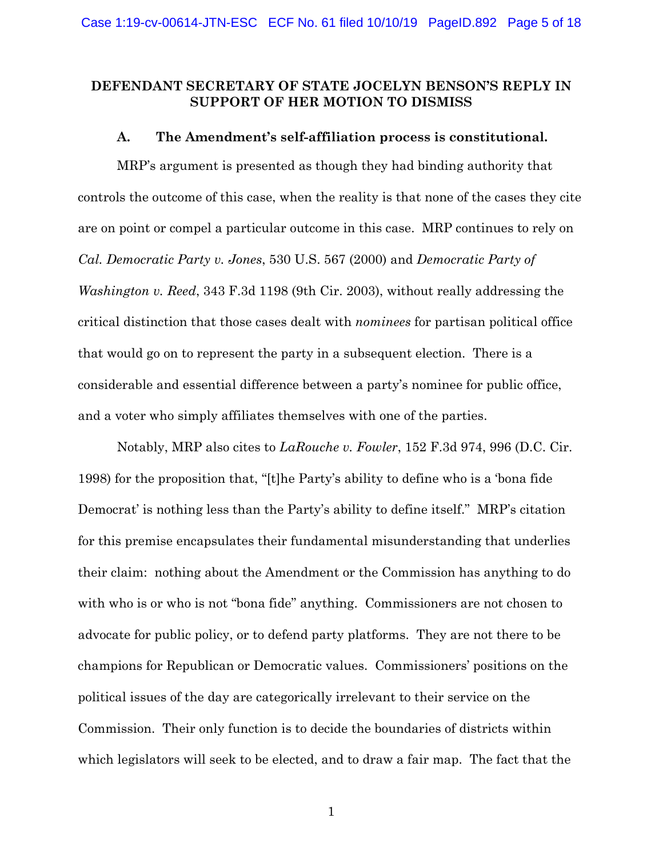### **DEFENDANT SECRETARY OF STATE JOCELYN BENSON'S REPLY IN SUPPORT OF HER MOTION TO DISMISS**

#### **A. The Amendment's self-affiliation process is constitutional.**

MRP's argument is presented as though they had binding authority that controls the outcome of this case, when the reality is that none of the cases they cite are on point or compel a particular outcome in this case. MRP continues to rely on *Cal. Democratic Party v. Jones*, 530 U.S. 567 (2000) and *Democratic Party of Washington v. Reed*, 343 F.3d 1198 (9th Cir. 2003), without really addressing the critical distinction that those cases dealt with *nominees* for partisan political office that would go on to represent the party in a subsequent election. There is a considerable and essential difference between a party's nominee for public office, and a voter who simply affiliates themselves with one of the parties.

Notably, MRP also cites to *LaRouche v. Fowler*, 152 F.3d 974, 996 (D.C. Cir. 1998) for the proposition that, "[t]he Party's ability to define who is a 'bona fide Democrat' is nothing less than the Party's ability to define itself." MRP's citation for this premise encapsulates their fundamental misunderstanding that underlies their claim: nothing about the Amendment or the Commission has anything to do with who is or who is not "bona fide" anything. Commissioners are not chosen to advocate for public policy, or to defend party platforms. They are not there to be champions for Republican or Democratic values. Commissioners' positions on the political issues of the day are categorically irrelevant to their service on the Commission. Their only function is to decide the boundaries of districts within which legislators will seek to be elected, and to draw a fair map. The fact that the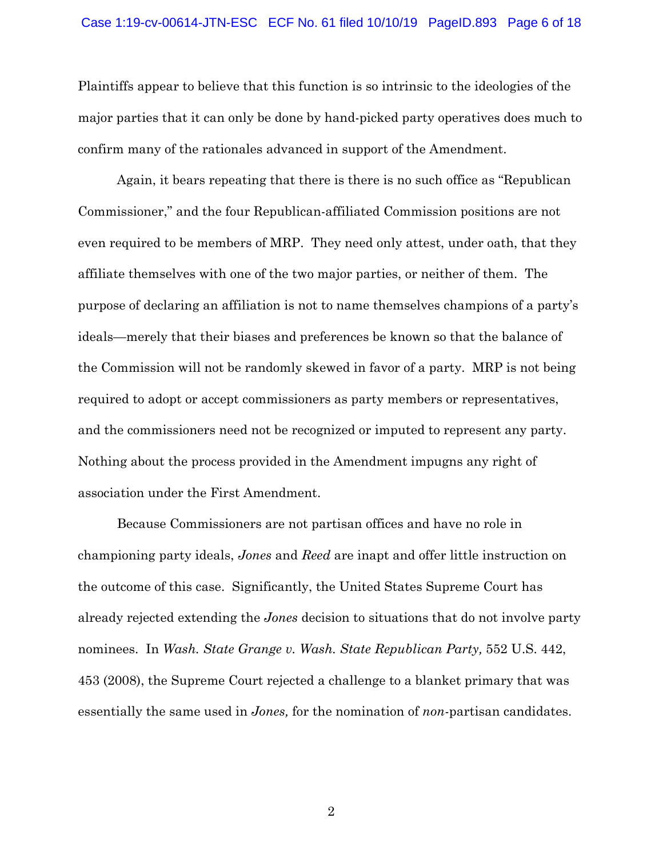#### Case 1:19-cv-00614-JTN-ESC ECF No. 61 filed 10/10/19 PageID.893 Page 6 of 18

Plaintiffs appear to believe that this function is so intrinsic to the ideologies of the major parties that it can only be done by hand-picked party operatives does much to confirm many of the rationales advanced in support of the Amendment.

Again, it bears repeating that there is there is no such office as "Republican Commissioner," and the four Republican-affiliated Commission positions are not even required to be members of MRP. They need only attest, under oath, that they affiliate themselves with one of the two major parties, or neither of them. The purpose of declaring an affiliation is not to name themselves champions of a party's ideals—merely that their biases and preferences be known so that the balance of the Commission will not be randomly skewed in favor of a party. MRP is not being required to adopt or accept commissioners as party members or representatives, and the commissioners need not be recognized or imputed to represent any party. Nothing about the process provided in the Amendment impugns any right of association under the First Amendment.

Because Commissioners are not partisan offices and have no role in championing party ideals, *Jones* and *Reed* are inapt and offer little instruction on the outcome of this case. Significantly, the United States Supreme Court has already rejected extending the *Jones* decision to situations that do not involve party nominees. In *Wash. State Grange v. Wash. State Republican Party*, 552 U.S. 442, 453 (2008), the Supreme Court rejected a challenge to a blanket primary that was essentially the same used in *Jones,* for the nomination of *non*-partisan candidates.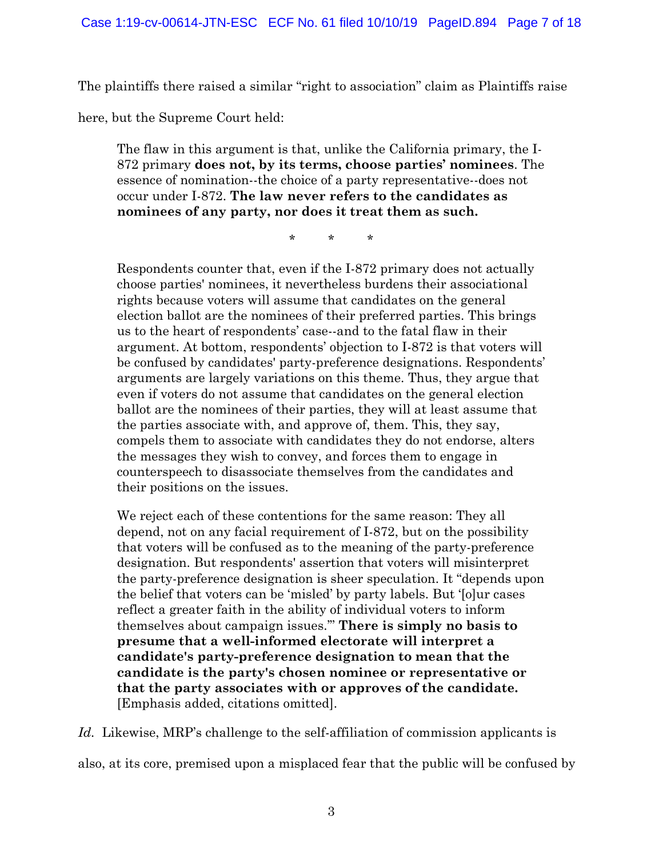The plaintiffs there raised a similar "right to association" claim as Plaintiffs raise

here, but the Supreme Court held:

The flaw in this argument is that, unlike the California primary, the I-872 primary **does not, by its terms, choose parties' nominees**. The essence of nomination--the choice of a party representative--does not occur under I-872. **The law never refers to the candidates as nominees of any party, nor does it treat them as such.**

\* \* \*

Respondents counter that, even if the I-872 primary does not actually choose parties' nominees, it nevertheless burdens their associational rights because voters will assume that candidates on the general election ballot are the nominees of their preferred parties. This brings us to the heart of respondents' case--and to the fatal flaw in their argument. At bottom, respondents' objection to I-872 is that voters will be confused by candidates' party-preference designations. Respondents' arguments are largely variations on this theme. Thus, they argue that even if voters do not assume that candidates on the general election ballot are the nominees of their parties, they will at least assume that the parties associate with, and approve of, them. This, they say, compels them to associate with candidates they do not endorse, alters the messages they wish to convey, and forces them to engage in counterspeech to disassociate themselves from the candidates and their positions on the issues.

We reject each of these contentions for the same reason: They all depend, not on any facial requirement of I-872, but on the possibility that voters will be confused as to the meaning of the party-preference designation. But respondents' assertion that voters will misinterpret the party-preference designation is sheer speculation. It "depends upon the belief that voters can be 'misled' by party labels. But '[o]ur cases reflect a greater faith in the ability of individual voters to inform themselves about campaign issues.'" **There is simply no basis to presume that a well-informed electorate will interpret a candidate's party-preference designation to mean that the candidate is the party's chosen nominee or representative or that the party associates with or approves of the candidate.** [Emphasis added, citations omitted].

Id. Likewise, MRP's challenge to the self-affiliation of commission applicants is also, at its core, premised upon a misplaced fear that the public will be confused by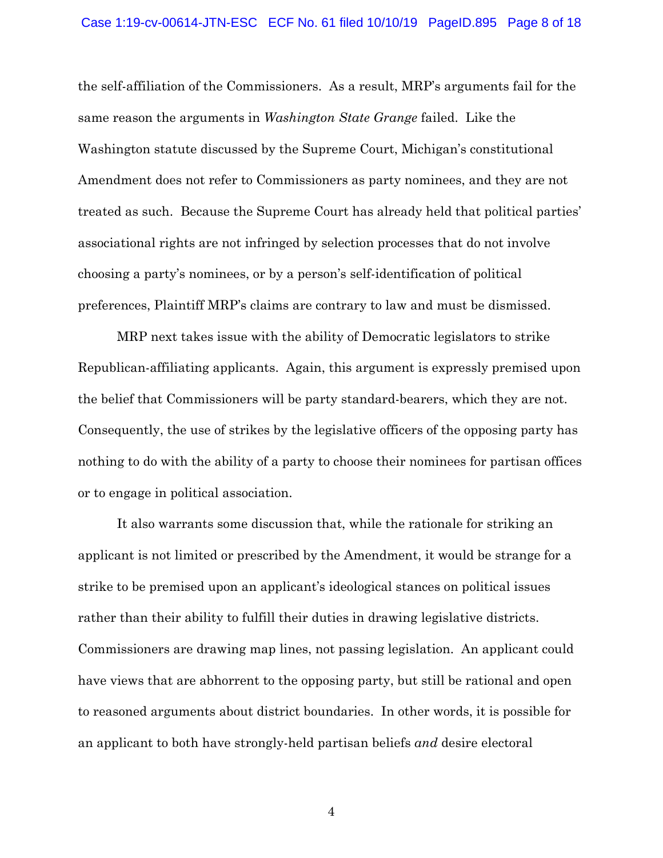#### Case 1:19-cv-00614-JTN-ESC ECF No. 61 filed 10/10/19 PageID.895 Page 8 of 18

the self-affiliation of the Commissioners. As a result, MRP's arguments fail for the same reason the arguments in *Washington State Grange* failed. Like the Washington statute discussed by the Supreme Court, Michigan's constitutional Amendment does not refer to Commissioners as party nominees, and they are not treated as such. Because the Supreme Court has already held that political parties' associational rights are not infringed by selection processes that do not involve choosing a party's nominees, or by a person's self-identification of political preferences, Plaintiff MRP's claims are contrary to law and must be dismissed.

MRP next takes issue with the ability of Democratic legislators to strike Republican-affiliating applicants. Again, this argument is expressly premised upon the belief that Commissioners will be party standard-bearers, which they are not. Consequently, the use of strikes by the legislative officers of the opposing party has nothing to do with the ability of a party to choose their nominees for partisan offices or to engage in political association.

It also warrants some discussion that, while the rationale for striking an applicant is not limited or prescribed by the Amendment, it would be strange for a strike to be premised upon an applicant's ideological stances on political issues rather than their ability to fulfill their duties in drawing legislative districts. Commissioners are drawing map lines, not passing legislation. An applicant could have views that are abhorrent to the opposing party, but still be rational and open to reasoned arguments about district boundaries. In other words, it is possible for an applicant to both have strongly-held partisan beliefs *and* desire electoral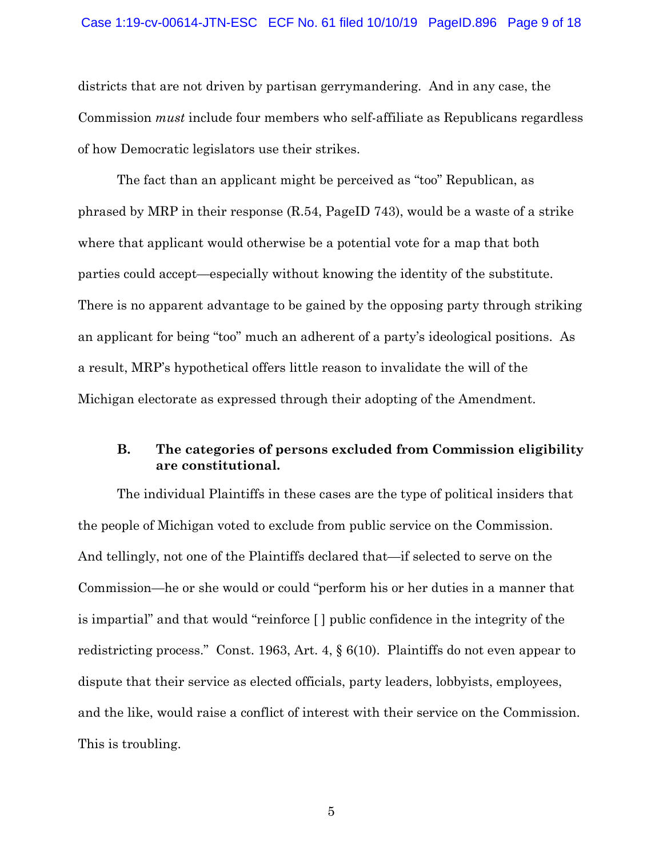#### Case 1:19-cv-00614-JTN-ESC ECF No. 61 filed 10/10/19 PageID.896 Page 9 of 18

districts that are not driven by partisan gerrymandering. And in any case, the Commission *must* include four members who self-affiliate as Republicans regardless of how Democratic legislators use their strikes.

The fact than an applicant might be perceived as "too" Republican, as phrased by MRP in their response (R.54, PageID 743), would be a waste of a strike where that applicant would otherwise be a potential vote for a map that both parties could accept—especially without knowing the identity of the substitute. There is no apparent advantage to be gained by the opposing party through striking an applicant for being "too" much an adherent of a party's ideological positions. As a result, MRP's hypothetical offers little reason to invalidate the will of the Michigan electorate as expressed through their adopting of the Amendment.

### **B. The categories of persons excluded from Commission eligibility are constitutional.**

The individual Plaintiffs in these cases are the type of political insiders that the people of Michigan voted to exclude from public service on the Commission. And tellingly, not one of the Plaintiffs declared that—if selected to serve on the Commission—he or she would or could "perform his or her duties in a manner that is impartial" and that would "reinforce [ ] public confidence in the integrity of the redistricting process." Const. 1963, Art. 4, § 6(10). Plaintiffs do not even appear to dispute that their service as elected officials, party leaders, lobbyists, employees, and the like, would raise a conflict of interest with their service on the Commission. This is troubling.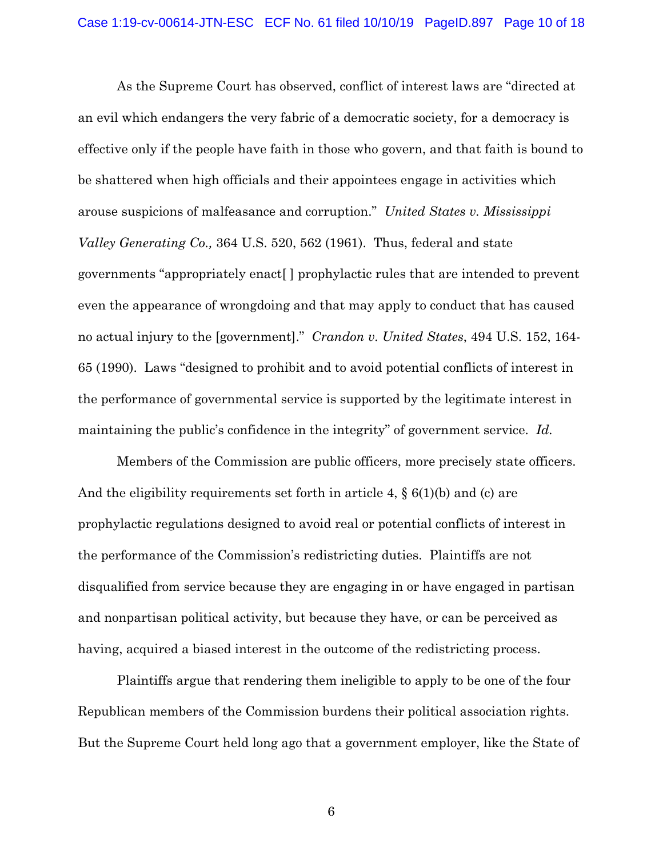As the Supreme Court has observed, conflict of interest laws are "directed at an evil which endangers the very fabric of a democratic society, for a democracy is effective only if the people have faith in those who govern, and that faith is bound to be shattered when high officials and their appointees engage in activities which arouse suspicions of malfeasance and corruption." *United States v. Mississippi Valley Generating Co.,* 364 U.S. 520, 562 (1961). Thus, federal and state governments "appropriately enact[ ] prophylactic rules that are intended to prevent even the appearance of wrongdoing and that may apply to conduct that has caused no actual injury to the [government]." *Crandon v. United States*, 494 U.S. 152, 164- 65 (1990). Laws "designed to prohibit and to avoid potential conflicts of interest in the performance of governmental service is supported by the legitimate interest in maintaining the public's confidence in the integrity" of government service. *Id.* 

Members of the Commission are public officers, more precisely state officers. And the eligibility requirements set forth in article 4,  $\S(6(1)(b)$  and (c) are prophylactic regulations designed to avoid real or potential conflicts of interest in the performance of the Commission's redistricting duties. Plaintiffs are not disqualified from service because they are engaging in or have engaged in partisan and nonpartisan political activity, but because they have, or can be perceived as having, acquired a biased interest in the outcome of the redistricting process.

Plaintiffs argue that rendering them ineligible to apply to be one of the four Republican members of the Commission burdens their political association rights. But the Supreme Court held long ago that a government employer, like the State of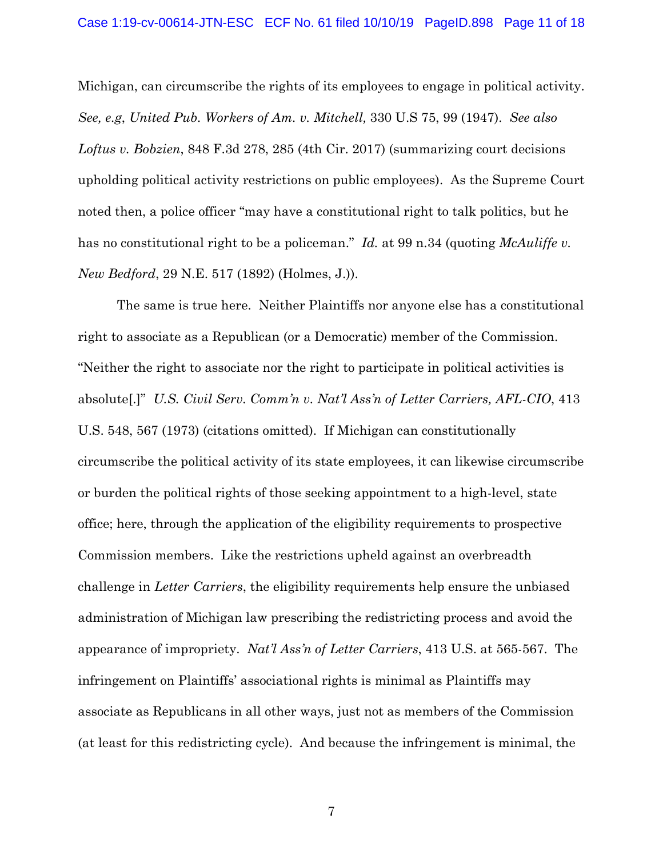Michigan, can circumscribe the rights of its employees to engage in political activity. *See, e.g*, *United Pub. Workers of Am. v. Mitchell,* 330 U.S 75, 99 (1947). *See also Loftus v. Bobzien*, 848 F.3d 278, 285 (4th Cir. 2017) (summarizing court decisions upholding political activity restrictions on public employees). As the Supreme Court noted then, a police officer "may have a constitutional right to talk politics, but he has no constitutional right to be a policeman." *Id.* at 99 n.34 (quoting *McAuliffe v. New Bedford*, 29 N.E. 517 (1892) (Holmes, J.)).

The same is true here. Neither Plaintiffs nor anyone else has a constitutional right to associate as a Republican (or a Democratic) member of the Commission. "Neither the right to associate nor the right to participate in political activities is absolute[.]" *U.S. Civil Serv. Comm'n v. Nat'l Ass'n of Letter Carriers, AFL-CIO*, 413 U.S. 548, 567 (1973) (citations omitted). If Michigan can constitutionally circumscribe the political activity of its state employees, it can likewise circumscribe or burden the political rights of those seeking appointment to a high-level, state office; here, through the application of the eligibility requirements to prospective Commission members. Like the restrictions upheld against an overbreadth challenge in *Letter Carriers*, the eligibility requirements help ensure the unbiased administration of Michigan law prescribing the redistricting process and avoid the appearance of impropriety. *Nat'l Ass'n of Letter Carriers*, 413 U.S. at 565-567. The infringement on Plaintiffs' associational rights is minimal as Plaintiffs may associate as Republicans in all other ways, just not as members of the Commission (at least for this redistricting cycle). And because the infringement is minimal, the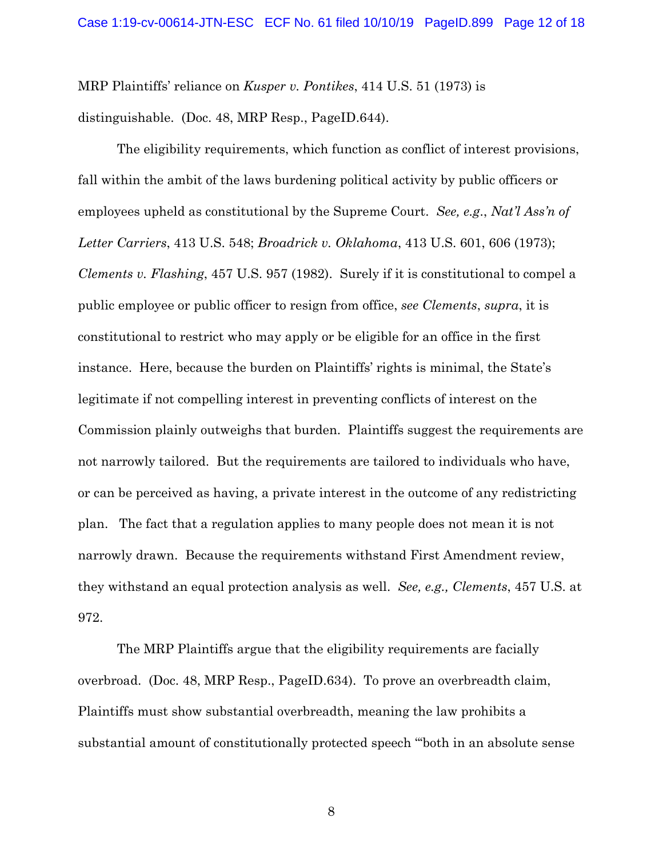MRP Plaintiffs' reliance on *Kusper v. Pontikes*, 414 U.S. 51 (1973) is distinguishable. (Doc. 48, MRP Resp., PageID.644).

The eligibility requirements, which function as conflict of interest provisions, fall within the ambit of the laws burdening political activity by public officers or employees upheld as constitutional by the Supreme Court. *See, e.g*., *Nat'l Ass'n of Letter Carriers*, 413 U.S. 548; *Broadrick v. Oklahoma*, 413 U.S. 601, 606 (1973); *Clements v. Flashing*, 457 U.S. 957 (1982). Surely if it is constitutional to compel a public employee or public officer to resign from office, *see Clements*, *supra*, it is constitutional to restrict who may apply or be eligible for an office in the first instance. Here, because the burden on Plaintiffs' rights is minimal, the State's legitimate if not compelling interest in preventing conflicts of interest on the Commission plainly outweighs that burden. Plaintiffs suggest the requirements are not narrowly tailored. But the requirements are tailored to individuals who have, or can be perceived as having, a private interest in the outcome of any redistricting plan. The fact that a regulation applies to many people does not mean it is not narrowly drawn. Because the requirements withstand First Amendment review, they withstand an equal protection analysis as well. *See, e.g., Clements*, 457 U.S. at 972.

The MRP Plaintiffs argue that the eligibility requirements are facially overbroad. (Doc. 48, MRP Resp., PageID.634). To prove an overbreadth claim, Plaintiffs must show substantial overbreadth, meaning the law prohibits a substantial amount of constitutionally protected speech "'both in an absolute sense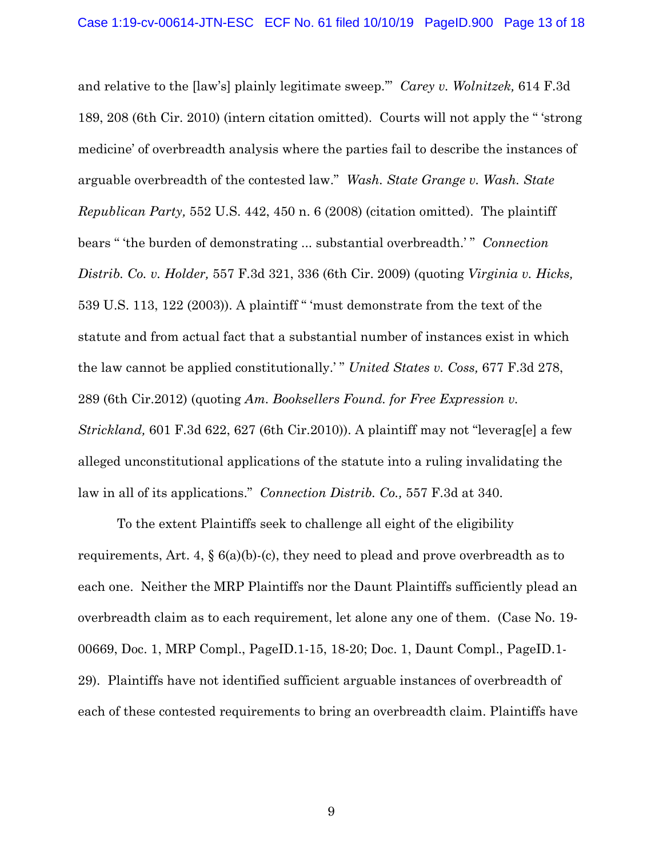and relative to the [law's] plainly legitimate sweep.'" *Carey v. Wolnitzek,* 614 F.3d 189, 208 (6th Cir. 2010) (intern citation omitted). Courts will not apply the " 'strong medicine' of overbreadth analysis where the parties fail to describe the instances of arguable overbreadth of the contested law." *Wash. State Grange v. Wash. State Republican Party,* 552 U.S. 442, 450 n. 6 (2008) (citation omitted). The plaintiff bears " 'the burden of demonstrating ... substantial overbreadth.' " *Connection Distrib. Co. v. Holder,* 557 F.3d 321, 336 (6th Cir. 2009) (quoting *Virginia v. Hicks,* 539 U.S. 113, 122 (2003)). A plaintiff " 'must demonstrate from the text of the statute and from actual fact that a substantial number of instances exist in which the law cannot be applied constitutionally.' " *United States v. Coss,* 677 F.3d 278, 289 (6th Cir.2012) (quoting *Am. Booksellers Found. for Free Expression v. Strickland,* 601 F.3d 622, 627 (6th Cir.2010)). A plaintiff may not "leverag[e] a few alleged unconstitutional applications of the statute into a ruling invalidating the law in all of its applications." *Connection Distrib. Co.,* 557 F.3d at 340.

To the extent Plaintiffs seek to challenge all eight of the eligibility requirements, Art. 4,  $\S$  6(a)(b)-(c), they need to plead and prove overbreadth as to each one. Neither the MRP Plaintiffs nor the Daunt Plaintiffs sufficiently plead an overbreadth claim as to each requirement, let alone any one of them. (Case No. 19- 00669, Doc. 1, MRP Compl., PageID.1-15, 18-20; Doc. 1, Daunt Compl., PageID.1- 29). Plaintiffs have not identified sufficient arguable instances of overbreadth of each of these contested requirements to bring an overbreadth claim. Plaintiffs have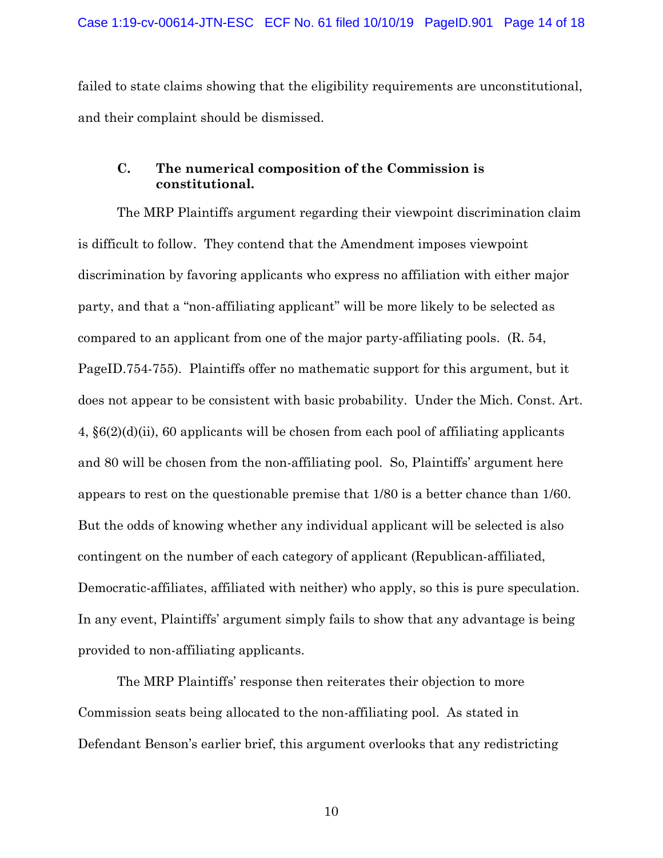failed to state claims showing that the eligibility requirements are unconstitutional, and their complaint should be dismissed.

## **C. The numerical composition of the Commission is constitutional.**

The MRP Plaintiffs argument regarding their viewpoint discrimination claim is difficult to follow. They contend that the Amendment imposes viewpoint discrimination by favoring applicants who express no affiliation with either major party, and that a "non-affiliating applicant" will be more likely to be selected as compared to an applicant from one of the major party-affiliating pools. (R. 54, PageID.754-755). Plaintiffs offer no mathematic support for this argument, but it does not appear to be consistent with basic probability. Under the Mich. Const. Art. 4, §6(2)(d)(ii), 60 applicants will be chosen from each pool of affiliating applicants and 80 will be chosen from the non-affiliating pool. So, Plaintiffs' argument here appears to rest on the questionable premise that 1/80 is a better chance than 1/60. But the odds of knowing whether any individual applicant will be selected is also contingent on the number of each category of applicant (Republican-affiliated, Democratic-affiliates, affiliated with neither) who apply, so this is pure speculation. In any event, Plaintiffs' argument simply fails to show that any advantage is being provided to non-affiliating applicants.

 The MRP Plaintiffs' response then reiterates their objection to more Commission seats being allocated to the non-affiliating pool. As stated in Defendant Benson's earlier brief, this argument overlooks that any redistricting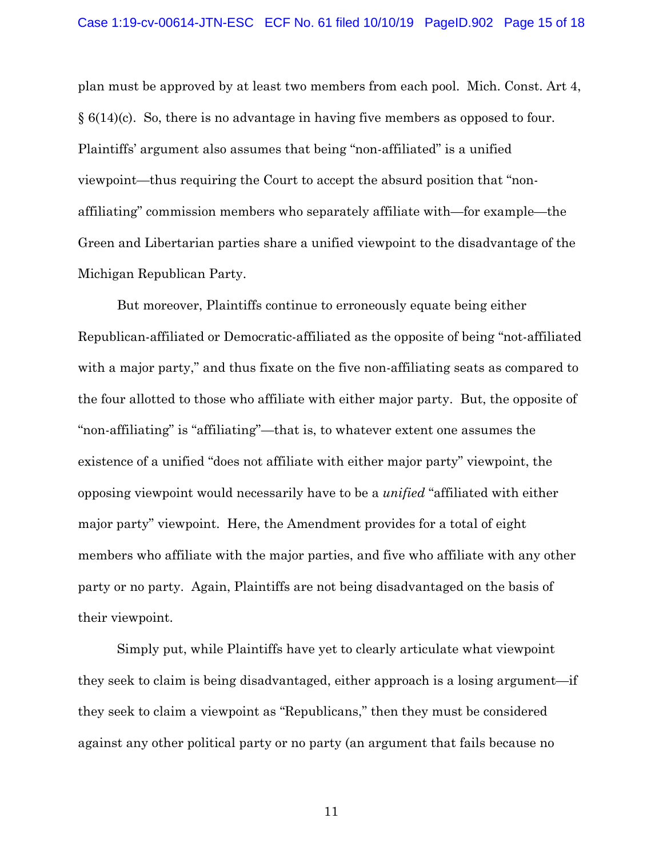plan must be approved by at least two members from each pool. Mich. Const. Art 4, § 6(14)(c). So, there is no advantage in having five members as opposed to four. Plaintiffs' argument also assumes that being "non-affiliated" is a unified viewpoint—thus requiring the Court to accept the absurd position that "nonaffiliating" commission members who separately affiliate with—for example—the Green and Libertarian parties share a unified viewpoint to the disadvantage of the Michigan Republican Party.

But moreover, Plaintiffs continue to erroneously equate being either Republican-affiliated or Democratic-affiliated as the opposite of being "not-affiliated with a major party," and thus fixate on the five non-affiliating seats as compared to the four allotted to those who affiliate with either major party. But, the opposite of "non-affiliating" is "affiliating"—that is, to whatever extent one assumes the existence of a unified "does not affiliate with either major party" viewpoint, the opposing viewpoint would necessarily have to be a *unified* "affiliated with either major party" viewpoint. Here, the Amendment provides for a total of eight members who affiliate with the major parties, and five who affiliate with any other party or no party. Again, Plaintiffs are not being disadvantaged on the basis of their viewpoint.

Simply put, while Plaintiffs have yet to clearly articulate what viewpoint they seek to claim is being disadvantaged, either approach is a losing argument—if they seek to claim a viewpoint as "Republicans," then they must be considered against any other political party or no party (an argument that fails because no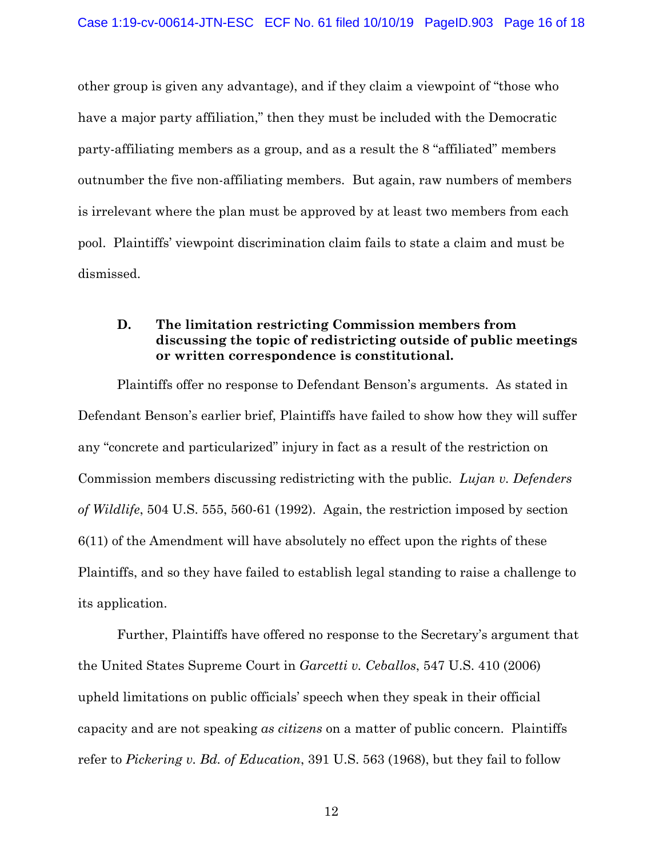other group is given any advantage), and if they claim a viewpoint of "those who have a major party affiliation," then they must be included with the Democratic party-affiliating members as a group, and as a result the 8 "affiliated" members outnumber the five non-affiliating members. But again, raw numbers of members is irrelevant where the plan must be approved by at least two members from each pool. Plaintiffs' viewpoint discrimination claim fails to state a claim and must be dismissed.

## **D. The limitation restricting Commission members from discussing the topic of redistricting outside of public meetings or written correspondence is constitutional.**

Plaintiffs offer no response to Defendant Benson's arguments. As stated in Defendant Benson's earlier brief, Plaintiffs have failed to show how they will suffer any "concrete and particularized" injury in fact as a result of the restriction on Commission members discussing redistricting with the public. *Lujan v. Defenders of Wildlife*, 504 U.S. 555, 560-61 (1992). Again, the restriction imposed by section 6(11) of the Amendment will have absolutely no effect upon the rights of these Plaintiffs, and so they have failed to establish legal standing to raise a challenge to its application.

Further, Plaintiffs have offered no response to the Secretary's argument that the United States Supreme Court in *Garcetti v. Ceballos*, 547 U.S. 410 (2006) upheld limitations on public officials' speech when they speak in their official capacity and are not speaking *as citizens* on a matter of public concern. Plaintiffs refer to *Pickering v. Bd. of Education*, 391 U.S. 563 (1968), but they fail to follow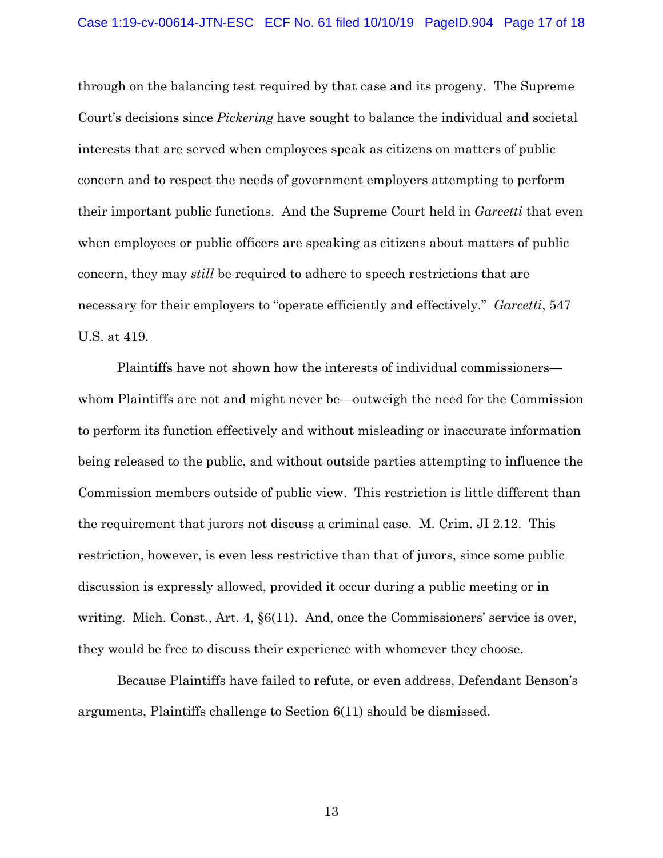through on the balancing test required by that case and its progeny. The Supreme Court's decisions since *Pickering* have sought to balance the individual and societal interests that are served when employees speak as citizens on matters of public concern and to respect the needs of government employers attempting to perform their important public functions. And the Supreme Court held in *Garcetti* that even when employees or public officers are speaking as citizens about matters of public concern, they may *still* be required to adhere to speech restrictions that are necessary for their employers to "operate efficiently and effectively." *Garcetti*, 547 U.S. at 419.

Plaintiffs have not shown how the interests of individual commissioners whom Plaintiffs are not and might never be—outweigh the need for the Commission to perform its function effectively and without misleading or inaccurate information being released to the public, and without outside parties attempting to influence the Commission members outside of public view. This restriction is little different than the requirement that jurors not discuss a criminal case. M. Crim. JI 2.12. This restriction, however, is even less restrictive than that of jurors, since some public discussion is expressly allowed, provided it occur during a public meeting or in writing. Mich. Const., Art. 4, §6(11). And, once the Commissioners' service is over, they would be free to discuss their experience with whomever they choose.

Because Plaintiffs have failed to refute, or even address, Defendant Benson's arguments, Plaintiffs challenge to Section 6(11) should be dismissed.